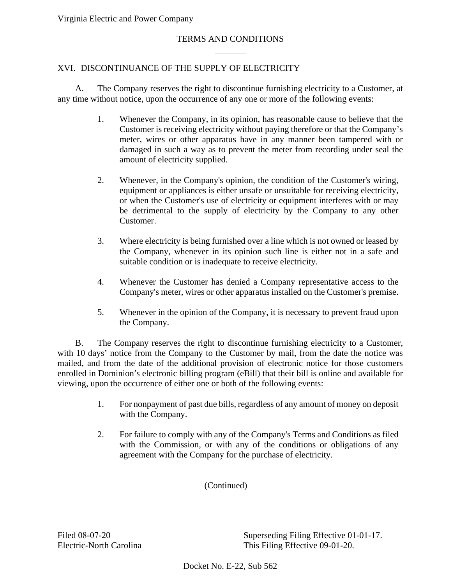## TERMS AND CONDITIONS

## XVI. DISCONTINUANCE OF THE SUPPLY OF ELECTRICITY

A. The Company reserves the right to discontinue furnishing electricity to a Customer, at any time without notice, upon the occurrence of any one or more of the following events:

- 1. Whenever the Company, in its opinion, has reasonable cause to believe that the Customer is receiving electricity without paying therefore or that the Company's meter, wires or other apparatus have in any manner been tampered with or damaged in such a way as to prevent the meter from recording under seal the amount of electricity supplied.
- 2. Whenever, in the Company's opinion, the condition of the Customer's wiring, equipment or appliances is either unsafe or unsuitable for receiving electricity, or when the Customer's use of electricity or equipment interferes with or may be detrimental to the supply of electricity by the Company to any other Customer.
- 3. Where electricity is being furnished over a line which is not owned or leased by the Company, whenever in its opinion such line is either not in a safe and suitable condition or is inadequate to receive electricity.
- 4. Whenever the Customer has denied a Company representative access to the Company's meter, wires or other apparatus installed on the Customer's premise.
- 5. Whenever in the opinion of the Company, it is necessary to prevent fraud upon the Company.

B. The Company reserves the right to discontinue furnishing electricity to a Customer, with 10 days' notice from the Company to the Customer by mail, from the date the notice was mailed, and from the date of the additional provision of electronic notice for those customers enrolled in Dominion's electronic billing program (eBill) that their bill is online and available for viewing, upon the occurrence of either one or both of the following events:

- 1. For nonpayment of past due bills, regardless of any amount of money on deposit with the Company.
- 2. For failure to comply with any of the Company's Terms and Conditions as filed with the Commission, or with any of the conditions or obligations of any agreement with the Company for the purchase of electricity.

(Continued)

Filed 08-07-20 Superseding Filing Effective 01-01-17. Electric-North Carolina This Filing Effective 09-01-20.